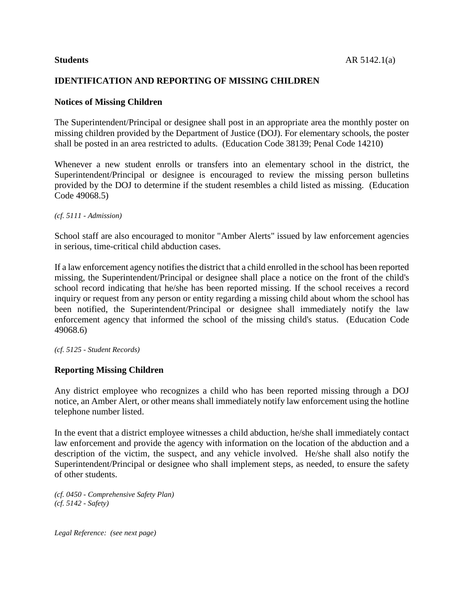# **IDENTIFICATION AND REPORTING OF MISSING CHILDREN**

### **Notices of Missing Children**

The Superintendent/Principal or designee shall post in an appropriate area the monthly poster on missing children provided by the Department of Justice (DOJ). For elementary schools, the poster shall be posted in an area restricted to adults. (Education Code 38139; Penal Code 14210)

Whenever a new student enrolls or transfers into an elementary school in the district, the Superintendent/Principal or designee is encouraged to review the missing person bulletins provided by the DOJ to determine if the student resembles a child listed as missing. (Education Code 49068.5)

*(cf. 5111 - Admission)*

School staff are also encouraged to monitor "Amber Alerts" issued by law enforcement agencies in serious, time-critical child abduction cases.

If a law enforcement agency notifies the district that a child enrolled in the school has been reported missing, the Superintendent/Principal or designee shall place a notice on the front of the child's school record indicating that he/she has been reported missing. If the school receives a record inquiry or request from any person or entity regarding a missing child about whom the school has been notified, the Superintendent/Principal or designee shall immediately notify the law enforcement agency that informed the school of the missing child's status. (Education Code 49068.6)

*(cf. 5125 - Student Records)*

# **Reporting Missing Children**

Any district employee who recognizes a child who has been reported missing through a DOJ notice, an Amber Alert, or other means shall immediately notify law enforcement using the hotline telephone number listed.

In the event that a district employee witnesses a child abduction, he/she shall immediately contact law enforcement and provide the agency with information on the location of the abduction and a description of the victim, the suspect, and any vehicle involved. He/she shall also notify the Superintendent/Principal or designee who shall implement steps, as needed, to ensure the safety of other students.

*(cf. 0450 - Comprehensive Safety Plan) (cf. 5142 - Safety)*

*Legal Reference: (see next page)*